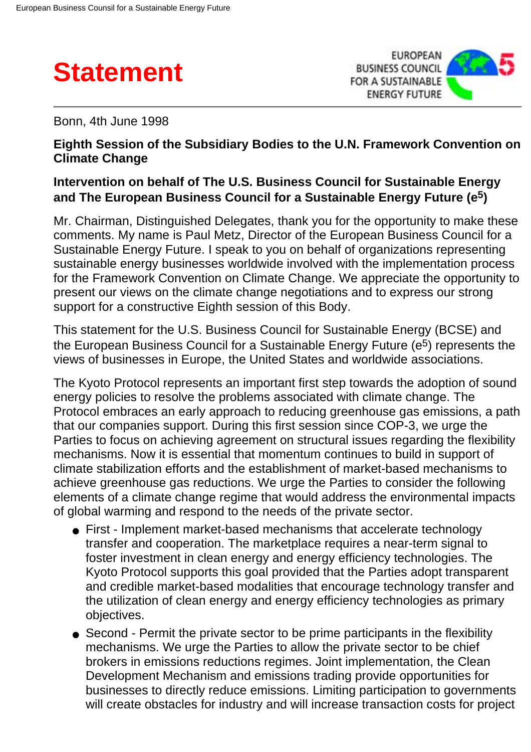



Bonn, 4th June 1998

## **Eighth Session of the Subsidiary Bodies to the U.N. Framework Convention on Climate Change**

## **Intervention on behalf of The U.S. Business Council for Sustainable Energy and The European Business Council for a Sustainable Energy Future (e5)**

Mr. Chairman, Distinguished Delegates, thank you for the opportunity to make these comments. My name is Paul Metz, Director of the European Business Council for a Sustainable Energy Future. I speak to you on behalf of organizations representing sustainable energy businesses worldwide involved with the implementation process for the Framework Convention on Climate Change. We appreciate the opportunity to present our views on the climate change negotiations and to express our strong support for a constructive Eighth session of this Body.

This statement for the U.S. Business Council for Sustainable Energy (BCSE) and the European Business Council for a Sustainable Energy Future (e<sup>5</sup>) represents the views of businesses in Europe, the United States and worldwide associations.

The Kyoto Protocol represents an important first step towards the adoption of sound energy policies to resolve the problems associated with climate change. The Protocol embraces an early approach to reducing greenhouse gas emissions, a path that our companies support. During this first session since COP-3, we urge the Parties to focus on achieving agreement on structural issues regarding the flexibility mechanisms. Now it is essential that momentum continues to build in support of climate stabilization efforts and the establishment of market-based mechanisms to achieve greenhouse gas reductions. We urge the Parties to consider the following elements of a climate change regime that would address the environmental impacts of global warming and respond to the needs of the private sector.

- First Implement market-based mechanisms that accelerate technology transfer and cooperation. The marketplace requires a near-term signal to foster investment in clean energy and energy efficiency technologies. The Kyoto Protocol supports this goal provided that the Parties adopt transparent and credible market-based modalities that encourage technology transfer and the utilization of clean energy and energy efficiency technologies as primary objectives.
- Second Permit the private sector to be prime participants in the flexibility mechanisms. We urge the Parties to allow the private sector to be chief brokers in emissions reductions regimes. Joint implementation, the Clean Development Mechanism and emissions trading provide opportunities for businesses to directly reduce emissions. Limiting participation to governments will create obstacles for industry and will increase transaction costs for project